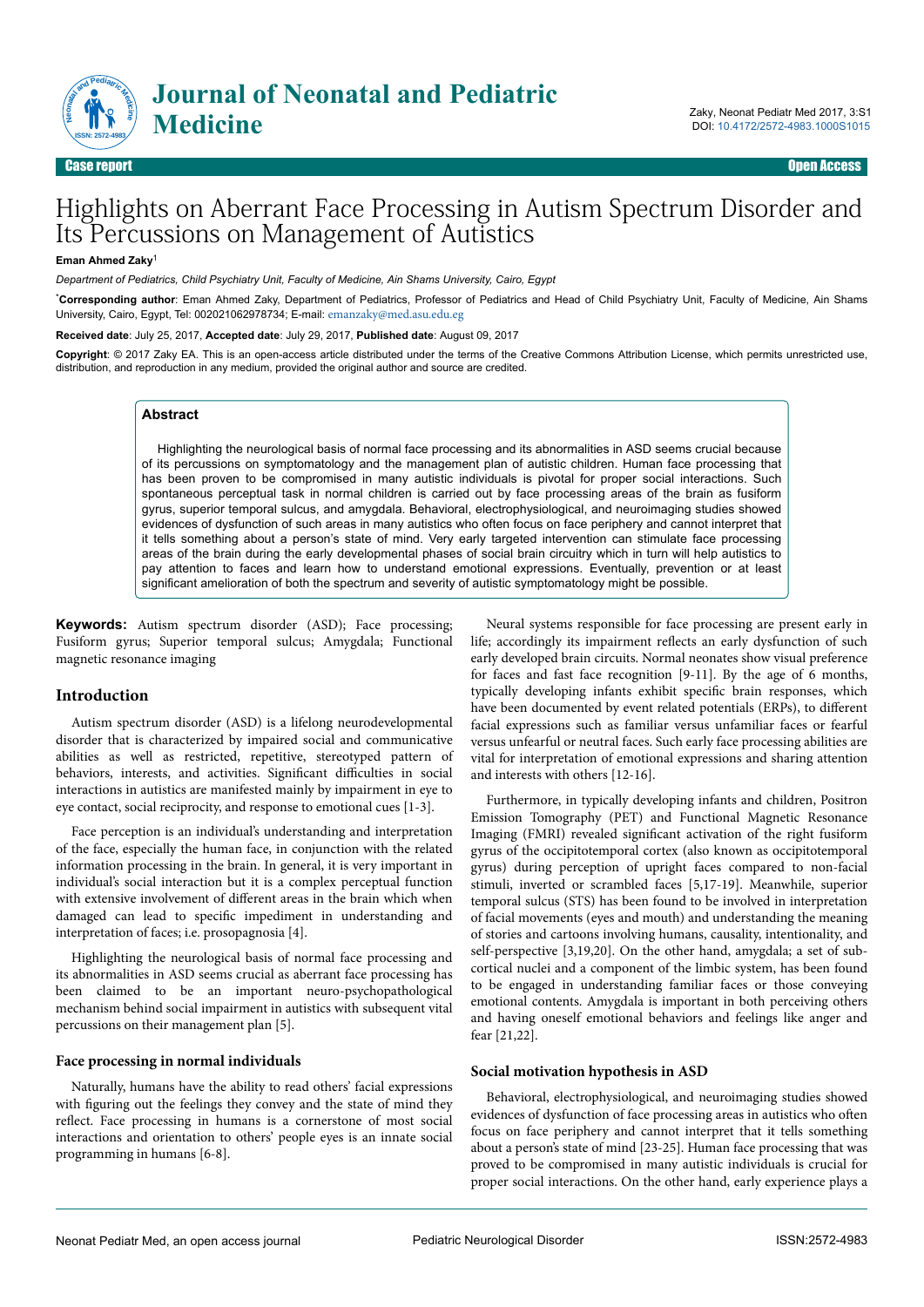

# Highlights on Aberrant Face Processing in Autism Spectrum Disorder and Its Percussions on Management of Autistics

#### **Eman Ahmed Zaky**<sup>1</sup>

*Department of Pediatrics, Child Psychiatry Unit, Faculty of Medicine, Ain Shams University, Cairo, Egypt*

\***Corresponding author**: Eman Ahmed Zaky, Department of Pediatrics, Professor of Pediatrics and Head of Child Psychiatry Unit, Faculty of Medicine, Ain Shams University, Cairo, Egypt, Tel: 002021062978734; E-mail: [emanzaky@med.asu.edu.eg](mailto:emanzaky@med.asu.edu.eg)

**Received date**: July 25, 2017, **Accepted date**: July 29, 2017, **Published date**: August 09, 2017

**Copyright**: © 2017 Zaky EA. This is an open-access article distributed under the terms of the Creative Commons Attribution License, which permits unrestricted use, distribution, and reproduction in any medium, provided the original author and source are credited.

# **Abstract**

Highlighting the neurological basis of normal face processing and its abnormalities in ASD seems crucial because of its percussions on symptomatology and the management plan of autistic children. Human face processing that has been proven to be compromised in many autistic individuals is pivotal for proper social interactions. Such spontaneous perceptual task in normal children is carried out by face processing areas of the brain as fusiform gyrus, superior temporal sulcus, and amygdala. Behavioral, electrophysiological, and neuroimaging studies showed evidences of dysfunction of such areas in many autistics who often focus on face periphery and cannot interpret that it tells something about a person's state of mind. Very early targeted intervention can stimulate face processing areas of the brain during the early developmental phases of social brain circuitry which in turn will help autistics to pay attention to faces and learn how to understand emotional expressions. Eventually, prevention or at least significant amelioration of both the spectrum and severity of autistic symptomatology might be possible.

**Keywords:** Autism spectrum disorder (ASD); Face processing; Fusiform gyrus; Superior temporal sulcus; Amygdala; Functional magnetic resonance imaging

# **Introduction**

Autism spectrum disorder (ASD) is a lifelong neurodevelopmental disorder that is characterized by impaired social and communicative abilities as well as restricted, repetitive, stereotyped pattern of behaviors, interests, and activities. Significant difficulties in social interactions in autistics are manifested mainly by impairment in eye to eye contact, social reciprocity, and response to emotional cues [1-3].

Face perception is an individual's understanding and interpretation of the face, especially the human face, in conjunction with the related information processing in the brain. In general, it is very important in individual's social interaction but it is a complex perceptual function with extensive involvement of different areas in the brain which when damaged can lead to specific impediment in understanding and interpretation of faces; i.e. prosopagnosia [4].

Highlighting the neurological basis of normal face processing and its abnormalities in ASD seems crucial as aberrant face processing has been claimed to be an important neuro-psychopathological mechanism behind social impairment in autistics with subsequent vital percussions on their management plan [5].

# **Face processing in normal individuals**

Naturally, humans have the ability to read others' facial expressions with figuring out the feelings they convey and the state of mind they reflect. Face processing in humans is a cornerstone of most social interactions and orientation to others' people eyes is an innate social programming in humans [6-8].

Neural systems responsible for face processing are present early in life; accordingly its impairment reflects an early dysfunction of such early developed brain circuits. Normal neonates show visual preference for faces and fast face recognition [9-11]. By the age of 6 months, typically developing infants exhibit specific brain responses, which have been documented by event related potentials (ERPs), to different facial expressions such as familiar versus unfamiliar faces or fearful versus unfearful or neutral faces. Such early face processing abilities are vital for interpretation of emotional expressions and sharing attention and interests with others [12-16].

Furthermore, in typically developing infants and children, Positron Emission Tomography (PET) and Functional Magnetic Resonance Imaging (FMRI) revealed significant activation of the right fusiform gyrus of the occipitotemporal cortex (also known as occipitotemporal gyrus) during perception of upright faces compared to non-facial stimuli, inverted or scrambled faces [5,17-19]. Meanwhile, superior temporal sulcus (STS) has been found to be involved in interpretation of facial movements (eyes and mouth) and understanding the meaning of stories and cartoons involving humans, causality, intentionality, and self-perspective [3,19,20]. On the other hand, amygdala; a set of subcortical nuclei and a component of the limbic system, has been found to be engaged in understanding familiar faces or those conveying emotional contents. Amygdala is important in both perceiving others and having oneself emotional behaviors and feelings like anger and fear [21,22].

#### **Social motivation hypothesis in ASD**

Behavioral, electrophysiological, and neuroimaging studies showed evidences of dysfunction of face processing areas in autistics who often focus on face periphery and cannot interpret that it tells something about a person's state of mind [23-25]. Human face processing that was proved to be compromised in many autistic individuals is crucial for proper social interactions. On the other hand, early experience plays a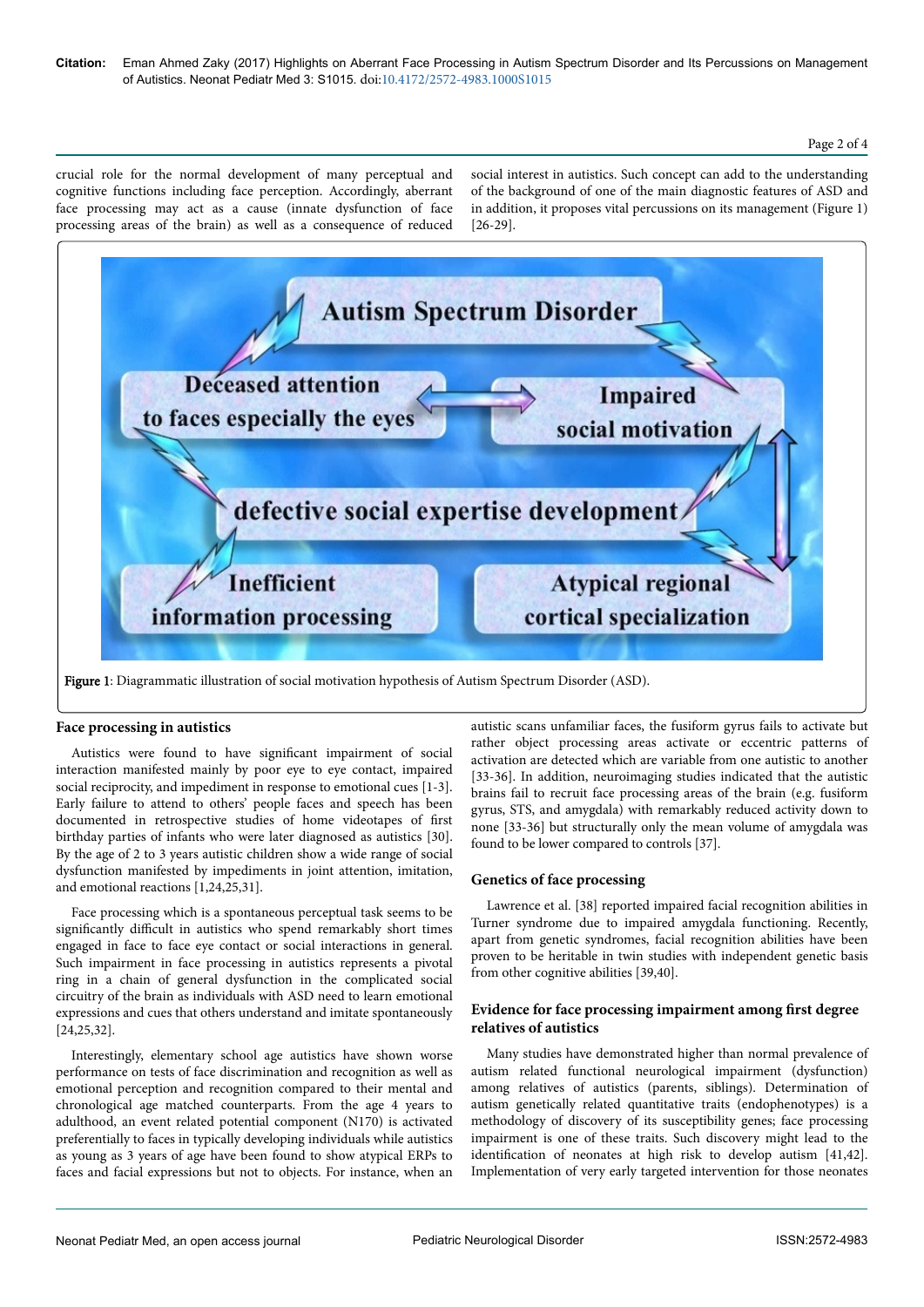### Page 2 of 4

crucial role for the normal development of many perceptual and cognitive functions including face perception. Accordingly, aberrant face processing may act as a cause (innate dysfunction of face processing areas of the brain) as well as a consequence of reduced social interest in autistics. Such concept can add to the understanding of the background of one of the main diagnostic features of ASD and in addition, it proposes vital percussions on its management (Figure 1) [26-29].



# **Face processing in autistics**

Autistics were found to have significant impairment of social interaction manifested mainly by poor eye to eye contact, impaired social reciprocity, and impediment in response to emotional cues [1-3]. Early failure to attend to others' people faces and speech has been documented in retrospective studies of home videotapes of first birthday parties of infants who were later diagnosed as autistics [30]. By the age of 2 to 3 years autistic children show a wide range of social dysfunction manifested by impediments in joint attention, imitation, and emotional reactions [1,24,25,31].

Face processing which is a spontaneous perceptual task seems to be significantly difficult in autistics who spend remarkably short times engaged in face to face eye contact or social interactions in general. Such impairment in face processing in autistics represents a pivotal ring in a chain of general dysfunction in the complicated social circuitry of the brain as individuals with ASD need to learn emotional expressions and cues that others understand and imitate spontaneously [24,25,32].

Interestingly, elementary school age autistics have shown worse performance on tests of face discrimination and recognition as well as emotional perception and recognition compared to their mental and chronological age matched counterparts. From the age 4 years to adulthood, an event related potential component (N170) is activated preferentially to faces in typically developing individuals while autistics as young as 3 years of age have been found to show atypical ERPs to faces and facial expressions but not to objects. For instance, when an autistic scans unfamiliar faces, the fusiform gyrus fails to activate but rather object processing areas activate or eccentric patterns of activation are detected which are variable from one autistic to another [33-36]. In addition, neuroimaging studies indicated that the autistic brains fail to recruit face processing areas of the brain (e.g. fusiform gyrus, STS, and amygdala) with remarkably reduced activity down to none [33-36] but structurally only the mean volume of amygdala was found to be lower compared to controls [37].

# **Genetics of face processing**

Lawrence et al. [38] reported impaired facial recognition abilities in Turner syndrome due to impaired amygdala functioning. Recently, apart from genetic syndromes, facial recognition abilities have been proven to be heritable in twin studies with independent genetic basis from other cognitive abilities [39,40].

# **Evidence for face processing impairment among first degree relatives of autistics**

Many studies have demonstrated higher than normal prevalence of autism related functional neurological impairment (dysfunction) among relatives of autistics (parents, siblings). Determination of autism genetically related quantitative traits (endophenotypes) is a methodology of discovery of its susceptibility genes; face processing impairment is one of these traits. Such discovery might lead to the identification of neonates at high risk to develop autism [41,42]. Implementation of very early targeted intervention for those neonates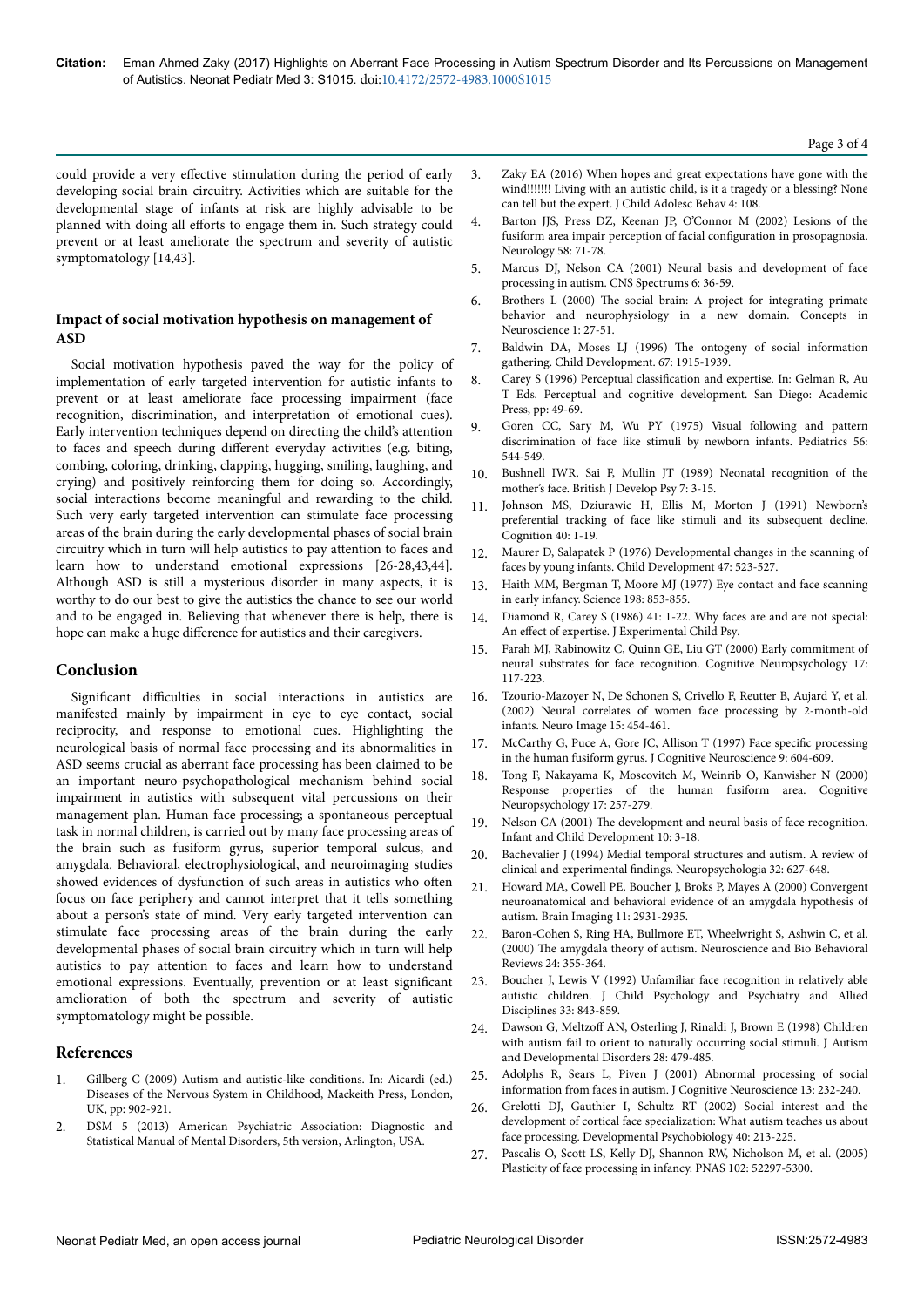could provide a very effective stimulation during the period of early developing social brain circuitry. Activities which are suitable for the developmental stage of infants at risk are highly advisable to be planned with doing all efforts to engage them in. Such strategy could prevent or at least ameliorate the spectrum and severity of autistic symptomatology [14,43].

# **Impact of social motivation hypothesis on management of ASD**

Social motivation hypothesis paved the way for the policy of implementation of early targeted intervention for autistic infants to prevent or at least ameliorate face processing impairment (face recognition, discrimination, and interpretation of emotional cues). Early intervention techniques depend on directing the child's attention to faces and speech during different everyday activities (e.g. biting, combing, coloring, drinking, clapping, hugging, smiling, laughing, and crying) and positively reinforcing them for doing so. Accordingly, social interactions become meaningful and rewarding to the child. Such very early targeted intervention can stimulate face processing areas of the brain during the early developmental phases of social brain circuitry which in turn will help autistics to pay attention to faces and learn how to understand emotional expressions [26-28,43,44]. Although ASD is still a mysterious disorder in many aspects, it is worthy to do our best to give the autistics the chance to see our world and to be engaged in. Believing that whenever there is help, there is hope can make a huge difference for autistics and their caregivers.

# **Conclusion**

Significant difficulties in social interactions in autistics are manifested mainly by impairment in eye to eye contact, social reciprocity, and response to emotional cues. Highlighting the neurological basis of normal face processing and its abnormalities in ASD seems crucial as aberrant face processing has been claimed to be an important neuro-psychopathological mechanism behind social impairment in autistics with subsequent vital percussions on their management plan. Human face processing; a spontaneous perceptual task in normal children, is carried out by many face processing areas of the brain such as fusiform gyrus, superior temporal sulcus, and amygdala. Behavioral, electrophysiological, and neuroimaging studies showed evidences of dysfunction of such areas in autistics who often focus on face periphery and cannot interpret that it tells something about a person's state of mind. Very early targeted intervention can stimulate face processing areas of the brain during the early developmental phases of social brain circuitry which in turn will help autistics to pay attention to faces and learn how to understand emotional expressions. Eventually, prevention or at least significant amelioration of both the spectrum and severity of autistic symptomatology might be possible.

# **References**

- [Gillberg C \(2009\) Autism and autistic-like conditions. In: Aicardi \(ed.\)](http://www.gu.se/english/research/publication?publicationId=162572) [Diseases of the Nervous System in Childhood, Mackeith Press, London,](http://www.gu.se/english/research/publication?publicationId=162572) [UK, pp: 902-921.](http://www.gu.se/english/research/publication?publicationId=162572)
- 2. [DSM 5 \(2013\) American Psychiatric Association: Diagnostic and](http://dsm.psychiatryonline.org/doi/book/10.1176/appi.books.9780890425596) [Statistical Manual of Mental Disorders, 5th version, Arlington, USA.](http://dsm.psychiatryonline.org/doi/book/10.1176/appi.books.9780890425596)
- 3. [Zaky EA \(2016\) When hopes and great expectations have gone with the](http://dx.doi.org/10.4172/2375-4494.1000e108) [wind!!!!!!! Living with an autistic child, is it a tragedy or a blessing? None](http://dx.doi.org/10.4172/2375-4494.1000e108) [can tell but the expert. J Child Adolesc Behav 4: 108.](http://dx.doi.org/10.4172/2375-4494.1000e108)
- [Barton JJS, Press DZ, Keenan JP, O'Connor M \(2002\) Lesions of the](https://www.ncbi.nlm.nih.gov/pubmed/11781408) [fusiform area impair perception of facial](https://www.ncbi.nlm.nih.gov/pubmed/11781408) configuration in prosopagnosia. [Neurology 58: 71-78.](https://www.ncbi.nlm.nih.gov/pubmed/11781408)
- 5. [Marcus DJ, Nelson CA \(2001\) Neural basis and development of face](http://dx.doi.org/10.1017/S1092852900022872) [processing in autism. CNS Spectrums 6: 36-59.](http://dx.doi.org/10.1017/S1092852900022872)
- 6. Brothers L (2000) Нe [social brain: A project for integrating primate](https://www.researchgate.net/publication/248015533_The_Social_Brain_A_project_for_integrating_primate_behavior_and_neurophysiology_in_a_new_domain) [behavior and neurophysiology in a new domain. Concepts in](https://www.researchgate.net/publication/248015533_The_Social_Brain_A_project_for_integrating_primate_behavior_and_neurophysiology_in_a_new_domain) [Neuroscience 1: 27-51.](https://www.researchgate.net/publication/248015533_The_Social_Brain_A_project_for_integrating_primate_behavior_and_neurophysiology_in_a_new_domain)
- 7. Baldwin DA, Moses LJ (1996) Нe [ontogeny of social information](https://www.jstor.org/stable/1131601?seq=1) [gathering. Child Development. 67: 1915-1939.](https://www.jstor.org/stable/1131601?seq=1)
- 8. Carey S (1996) Perceptual classification [and expertise. In: Gelman R, Au](https://books.google.co.in/books?hl=en&lr=&id=muzL9WJJziwC&oi=fnd&pg=PA49&dq=)+Perceptual+classification+and+expertise&ots=7YncVgZ7N0&sig=F90lV6tB0cFTsO2E08NqqAksQvQ) [T Eds. Perceptual and cognitive development. San Diego: Academic](https://books.google.co.in/books?hl=en&lr=&id=muzL9WJJziwC&oi=fnd&pg=PA49&dq=)+Perceptual+classification+and+expertise&ots=7YncVgZ7N0&sig=F90lV6tB0cFTsO2E08NqqAksQvQ) [Press, pp: 49-69.](https://books.google.co.in/books?hl=en&lr=&id=muzL9WJJziwC&oi=fnd&pg=PA49&dq=)+Perceptual+classification+and+expertise&ots=7YncVgZ7N0&sig=F90lV6tB0cFTsO2E08NqqAksQvQ)
- 9. [Goren CC, Sary M, Wu PY \(1975\) Visual following and pattern](https://www.ncbi.nlm.nih.gov/pubmed/1165958) [discrimination of face like stimuli by newborn infants. Pediatrics 56:](https://www.ncbi.nlm.nih.gov/pubmed/1165958) [544-549](https://www.ncbi.nlm.nih.gov/pubmed/1165958).
- 10. [Bushnell IWR, Sai F, Mullin JT \(1989\) Neonatal recognition of the](http://dx.doi.org/10.1111/j.2044-835X.1989.tb00784.x) [mother's face. British J Develop Psy 7: 3-15.](http://dx.doi.org/10.1111/j.2044-835X.1989.tb00784.x)
- 11. [Johnson MS, Dziurawic H, Ellis M, Morton J \(1991\) Newborn's](https://www.ncbi.nlm.nih.gov/pubmed/1786670) [preferential tracking of face like stimuli and its subsequent decline.](https://www.ncbi.nlm.nih.gov/pubmed/1786670) [Cognition 40: 1-19.](https://www.ncbi.nlm.nih.gov/pubmed/1786670)
- 12. [Maurer D, Salapatek P \(1976\) Developmental changes in the scanning of](https://www.jstor.org/stable/1128813?seq=1) [faces by young infants. Child Development 47: 523-527.](https://www.jstor.org/stable/1128813?seq=1)
- 13. [Haith MM, Bergman T, Moore MJ \(1977\) Eye contact and face scanning](https://www.ncbi.nlm.nih.gov/pubmed/918670) [in early infancy. Science 198: 853-855.](https://www.ncbi.nlm.nih.gov/pubmed/918670)
- 14. [Diamond R, Carey S \(1986\) 41: 1-22. Why faces are and are not special:](https://www.ncbi.nlm.nih.gov/pubmed/2940312) An effect [of expertise. J Experimental Child Psy](https://www.ncbi.nlm.nih.gov/pubmed/2940312).
- 15. [Farah MJ, Rabinowitz C, Quinn GE, Liu GT \(2000\) Early commitment of](http://dx.doi.org/0.1080/026432900380526.) [neural substrates for face recognition. Cognitive Neuropsychology 17:](http://dx.doi.org/0.1080/026432900380526.) [117-223.](http://dx.doi.org/0.1080/026432900380526.)
- 16. [Tzourio-Mazoyer N, De Schonen S, Crivello F, Reutter B, Aujard Y, et al.](https://www.ncbi.nlm.nih.gov/pubmed/11798279) [\(2002\) Neural correlates of women face processing by 2-month-old](https://www.ncbi.nlm.nih.gov/pubmed/11798279) [infants. Neuro Image 15: 454-461.](https://www.ncbi.nlm.nih.gov/pubmed/11798279)
- [McCarthy G, Puce A, Gore JC, Allison T \(1997\) Face](http://dx.doi.org/0.10.1162/jocn.1997.9.5.605.) specific processing [in the human fusiform gyrus. J Cognitive Neuroscience 9: 604-609.](http://dx.doi.org/0.10.1162/jocn.1997.9.5.605.)
- 18. [Tong F, Nakayama K, Moscovitch M, Weinrib O, Kanwisher N \(2000\)](http://web.mit.edu/bcs/nklab/media/pdfs/TongNakayamaMoscovitchWeinribKanwisher2000.pdf) [Response properties of the human fusiform area. Cognitive](http://web.mit.edu/bcs/nklab/media/pdfs/TongNakayamaMoscovitchWeinribKanwisher2000.pdf) [Neuropsychology 17: 257-279.](http://web.mit.edu/bcs/nklab/media/pdfs/TongNakayamaMoscovitchWeinribKanwisher2000.pdf)
- 19. Nelson CA (2001) Нe [development and neural basis of face recognition.](http://dx.doi.org/0.10.1002/icd.239) [Infant and Child Development 10: 3-18.](http://dx.doi.org/0.10.1002/icd.239)
- 20. [Bachevalier J \(1994\) Medial temporal structures and autism. A review of](https://www.ncbi.nlm.nih.gov/pubmed/8084420) clinical and experimental findings. [Neuropsychologia 32: 627-648.](https://www.ncbi.nlm.nih.gov/pubmed/8084420)
- 21. [Howard MA, Cowell PE, Boucher J, Broks P, Mayes A \(2000\) Convergent](https://www.ncbi.nlm.nih.gov/pubmed/11006968) [neuroanatomical and behavioral evidence of an amygdala hypothesis of](https://www.ncbi.nlm.nih.gov/pubmed/11006968) [autism. Brain Imaging 11: 2931-2935.](https://www.ncbi.nlm.nih.gov/pubmed/11006968)
- 22. [Baron-Cohen S, Ring HA, Bullmore ET, Wheelwright S, Ashwin C, et al.](https://www.ncbi.nlm.nih.gov/pubmed/10781695) (2000) Нe [amygdala theory of autism. Neuroscience and Bio Behavioral](https://www.ncbi.nlm.nih.gov/pubmed/10781695) [Reviews 24: 355-364.](https://www.ncbi.nlm.nih.gov/pubmed/10781695)
- 23. [Boucher J, Lewis V \(1992\) Unfamiliar face recognition in relatively able](https://www.ncbi.nlm.nih.gov/pubmed/1634592) [autistic children. J Child Psychology and Psychiatry and Allied](https://www.ncbi.nlm.nih.gov/pubmed/1634592) [Disciplines 33: 843-859.](https://www.ncbi.nlm.nih.gov/pubmed/1634592)
- 24. Dawson G, Meltzoff [AN, Osterling J, Rinaldi J, Brown E \(1998\) Children](https://www.ncbi.nlm.nih.gov/pubmed/9932234) [with autism fail to orient to naturally occurring social stimuli. J Autism](https://www.ncbi.nlm.nih.gov/pubmed/9932234) [and Developmental Disorders 28: 479-485.](https://www.ncbi.nlm.nih.gov/pubmed/9932234)
- 25. [Adolphs R, Sears L, Piven J \(2001\) Abnormal processing of social](https://www.ncbi.nlm.nih.gov/pubmed/11244548) [information from faces in autism. J Cognitive Neuroscience 13: 232-240.](https://www.ncbi.nlm.nih.gov/pubmed/11244548)
- 26. [Grelotti DJ, Gauthier I, Schultz RT \(2002\) Social interest and the](https://www.ncbi.nlm.nih.gov/pubmed/11891634) [development of cortical face specialization: What autism teaches us about](https://www.ncbi.nlm.nih.gov/pubmed/11891634) [face processing. Developmental Psychobiology 40: 213-225.](https://www.ncbi.nlm.nih.gov/pubmed/11891634)
- 27. [Pascalis O, Scott LS, Kelly DJ, Shannon RW, Nicholson M, et al. \(2005\)](https://www.ncbi.nlm.nih.gov/pubmed/15790676) [Plasticity of face processing in infancy. PNAS 102: 52297-5300.](https://www.ncbi.nlm.nih.gov/pubmed/15790676)